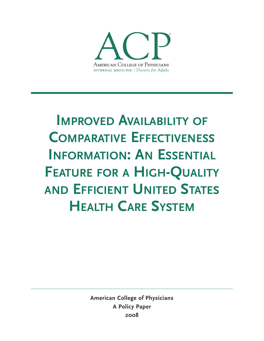

# **IMPROVED AVAILABILITY OF COMPARATIVE EFFECTIVENESS INFORMATION: AN ESSENTIAL FEATURE FOR A HIGH-QUALITY AND EFFICIENT UNITED STATES HEALTH CARE SYSTEM**

**American College of Physicians A Policy Paper 2008**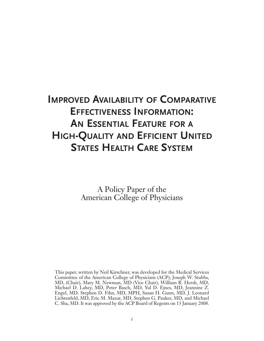# **IMPROVED AVAILABILITY OF COMPARATIVE EFFECTIVENESS INFORMATION: AN ESSENTIAL FEATURE FOR A HIGH-QUALITY AND EFFICIENT UNITED STATES HEALTH CARE SYSTEM**

A Policy Paper of the American College of Physicians

This paper, written by Neil Kirschner, was developed for the Medical Services Committee of the American College of Physicians (ACP); Joseph W. Stubbs, MD, (Chair), Mary M. Newman, MD (Vice Chair), William R. Hersh, MD, Michael D. Lahey, MD, Peter Basch, MD, Yul D. Ejnes, MD, Jeannine Z. Engel, MD. Stephen D. Fihn, MD, MPH, Susan H. Gunn, MD, J. Leonard Lichtenfeld, MD, Eric M. Mazur, MD, Stephen G. Pauker, MD, and Michael C. Sha, MD. It was approved by the ACP Board of Regents on 13 January 2008.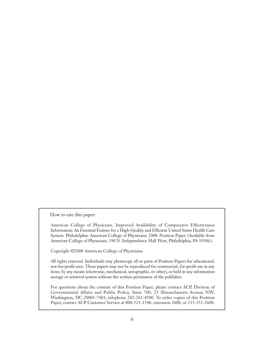How to cite this paper:

American College of Physicians. Improved Availability of Comparative Effectiveness Information: An Essential Feature for a High-Quality and Efficient United States Health Care System. Philadelphia: American College of Physicians; 2008: Position Paper. (Available from American College of Physicians, 190 N. Independence Mall West, Philadelphia, PA 19106.)

Copyright ©2008 American College of Physicians.

All rights reserved. Individuals may photocopy all or parts of Position Papers for educational, not-for-profit uses. These papers may not be reproduced for commercial, for-profit use in any form, by any means (electronic, mechanical, xerographic, or other), or held in any information storage or retrieval system without the written permission of the publisher.

For questions about the content of this Position Paper, please contact ACP, Division of Governmental Affairs and Public Policy, Suite 700, 25 Massachusetts Avenue NW, Washington, DC 20001-7401; telephone 202-261-4500. To order copies of this Position Paper, contact ACP Customer Service at 800-523-1546, extension 2600, or 215-351-2600.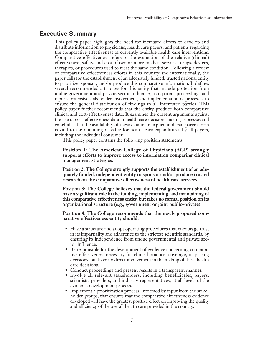# **Executive Summary**

This policy paper highlights the need for increased efforts to develop and distribute information to physicians, health care payers, and patients regarding the comparative effectiveness of currently available health care interventions. Comparative effectiveness refers to the evaluation of the relative (clinical) effectiveness, safety, and cost of two or more medical services, drugs, devices, therapies, or procedures used to treat the same condition. Following a review of comparative effectiveness efforts in this country and internationally, the paper calls for the establishment of an adequately funded, trusted national entity to prioritize, sponsor, and/or produce this comparative information. It defines several recommended attributes for this entity that include protection from undue government and private sector influence, transparent proceedings and reports, extensive stakeholder involvement, and implementation of processes to ensure the general distribution of findings to all interested parties. This policy paper further recommends that the entity produce both comparative clinical and cost-effectiveness data. It examines the current arguments against the use of cost-effectiveness data in health care decision-making processes and concludes that the availability of these data in an explicit and transparent form is vital to the obtaining of value for health care expenditures by all payers, including the individual consumer.

This policy paper contains the following position statements:

**Position 1: The American College of Physicians (ACP) strongly supports efforts to improve access to information comparing clinical management strategies.** 

**Position 2: The College strongly supports the establishment of an adequately funded, independent entity to sponsor and/or produce trusted research on the comparative effectiveness of health care services.** 

**Position 3: The College believes that the federal government should have a significant role in the funding, implementing, and maintaining of this comparative effectiveness entity, but takes no formal position on its organizational structure (e.g., government or joint public–private)** 

**Position 4: The College recommends that the newly proposed comparative effectiveness entity should:**

- Have a structure and adopt operating procedures that encourage trust in its impartiality and adherence to the strictest scientific standards, by ensuring its independence from undue governmental and private sector influence.
- Be responsible for the development of evidence concerning comparative effectiveness necessary for clinical practice, coverage, or pricing decisions, but have no direct involvement in the making of these health care decisions.
- Conduct proceedings and present results in a transparent manner.
- Involve all relevant stakeholders, including beneficiaries, payers, scientists, providers, and industry representatives, at all levels of the evidence development process.
- Implement a prioritization process, informed by input from the stakeholder groups, that ensures that the comparative effectiveness evidence developed will have the greatest positive effect on improving the quality and efficiency of the overall health care provided in the country.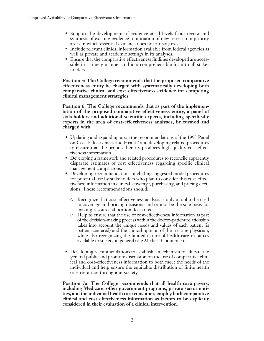- Support the development of evidence at all levels from review and synthesis of existing evidence to initiation of new research in priority areas in which essential evidence does not already exist.
- Include relevant clinical information available from federal agencies as well as private and academic settings in its analyses.
- Ensure that the comparative effectiveness findings developed are accessible in a timely manner and in a comprehensible form to all stakeholders.

**Position 5: The College recommends that the proposed comparative effectiveness entity be charged with systematically developing both comparative clinical and cost-effectiveness evidence for competing clinical management strategies.** 

**Position 6: The College recommends that as part of the implementation of the proposed comparative effectiveness entity, a panel of stakeholders and additional scientific experts, including specifically experts in the area of cost-effectiveness analyses, be formed and charged with:**

- Updating and expanding upon the recommendations of the 1993 Panel on Cost-Effectiveness and Health<sup>1</sup> and developing related procedures to ensure that the proposed entity produces high-quality cost-effectiveness information.
- Developing a framework and related procedures to reconcile apparently disparate estimates of cost effectiveness regarding specific clinical management comparisons.
- Developing recommendations, including suggested model procedures for potential use by stakeholders who plan to consider this cost-effectiveness information in clinical, coverage, purchasing, and pricing decisions. These recommendations should:
	- Recognize that cost-effectiveness analysis is only a tool to be used in coverage and pricing decisions and cannot be the sole basis for making resource allocation decisions.
	- Help to ensure that the use of cost-effectiveness information as part of the decision-making process within the doctor–patient relationship takes into account the unique needs and values of each patient (is patient-centered) and the clinical opinion of the treating physician, while also recognizing the limited nature of health care resources available to society in general (the Medical Commons<sup>2</sup>).
- Developing recommendations to establish a mechanism to educate the general public and promote discussion on the use of comparative clinical and cost-effectiveness information to both meet the needs of the individual and help ensure the equitable distribution of finite health care resources throughout society.

**Position 7a: The College recommends that all health care payers, including Medicare, other government programs, private sector entities, and the individual health care consumer, employ both comparative clinical and cost-effectiveness information as factors to be explicitly considered in their evaluation of a clinical intervention.**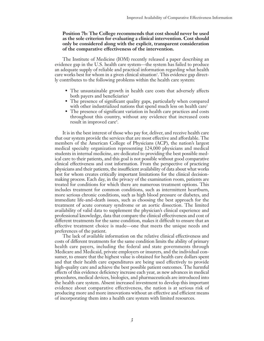#### **Position 7b: The College recommends that cost should never be used as the sole criterion for evaluating a clinical intervention. Cost should only be considered along with the explicit, transparent consideration of the comparative effectiveness of the intervention.**

The Institute of Medicine (IOM) recently released a paper describing an evidence gap in the U.S. health care system—the system has failed to produce an adequate supply of reliable and practical information regarding what health care works best for whom in a given clinical situation<sup>3</sup>. This evidence gap directly contributes to the following problems within the health care system:

- The unsustainable growth in health care costs that adversely affects both payers and beneficiaries<sup>4</sup>
- The presence of significant quality gaps, particularly when compared with other industrialized nations that spend much less on health care<sup>5</sup>
- The presence of significant variation in health care practices and costs throughout this country, without any evidence that increased costs result in improved care<sup>6</sup>.

It is in the best interest of those who pay for, deliver, and receive health care that our system provide the services that are most effective and affordable. The members of the American College of Physicians (ACP), the nation's largest medical specialty organization representing 124,000 physicians and medical students in internal medicine, are dedicated to providing the best possible medical care to their patients, and this goal is not possible without good comparative clinical effectiveness and cost information. From the perspective of practicing physicians and their patients, the insufficient availability of data about what works best for whom creates critically important limitations for the clinical decisionmaking process. Each day, in the privacy of the examination room, patients are treated for conditions for which there are numerous treatment options. This includes treatment for common conditions, such as intermittent heartburn, more serious chronic conditions, such as high blood pressure or diabetes, and immediate life-and-death issues, such as choosing the best approach for the treatment of acute coronary syndrome or an aortic dissection. The limited availability of valid data to supplement the physician's clinical experience and professional knowledge, data that compare the clinical effectiveness and cost of different treatments for the same condition, makes it difficult to ensure that an effective treatment choice is made—one that meets the unique needs and preferences of the patient.

The lack of available information on the relative clinical effectiveness and costs of different treatments for the same condition limits the ability of primary health care payers, including the federal and state governments through Medicare and Medicaid, private employers or insurers, and the individual consumer, to ensure that the highest value is obtained for health care dollars spent and that their health care expenditures are being used effectively to provide high-quality care and achieve the best possible patient outcomes. The harmful effects of this evidence deficiency increase each year, as new advances in medical procedures, medical devices, biologics, and pharmaceuticals are introduced into the health care system. Absent increased investment to develop this important evidence about comparative effectiveness, the nation is at serious risk of producing more and more innovations without an effective and efficient means of incorporating them into a health care system with limited resources.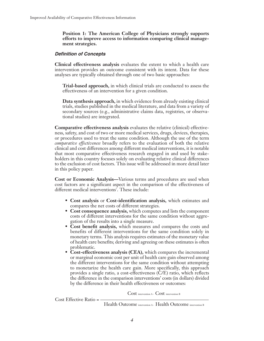**Position 1: The American College of Physicians strongly supports efforts to improve access to information comparing clinical management strategies.** 

#### **Definition of Concepts**

**Clinical effectiveness analysis** evaluates the extent to which a health care intervention provides an outcome consistent with its intent. Data for these analyses are typically obtained through one of two basic approaches:

**Trial-based approach,** in which clinical trials are conducted to assess the effectiveness of an intervention for a given condition.

**Data synthesis approach,** in which evidence from already existing clinical trials, studies published in the medical literature, and data from a variety of secondary sources (e.g., administrative claims data, registries, or observational studies) are integrated.

**Comparative effectiveness analysis** evaluates the relative (clinical) effectiveness, safety, and cost of two or more medical services, drugs, devices, therapies, or procedures used to treat the same condition. Although the use of the term *comparative effectiveness* broadly refers to the evaluation of both the relative clinical and cost differences among different medical interventions, it is notable that most comparative effectiveness research engaged in and used by stakeholders in this country focuses solely on evaluating relative clinical differences to the exclusion of cost factors. This issue will be addressed in more detail later in this policy paper.

**Cost or Economic Analysis—**Various terms and procedures are used when cost factors are a significant aspect in the comparison of the effectiveness of different medical interventions<sup>7</sup>. These include:

- **Cost analysis** or **Cost-identification analysis,** which estimates and compares the net costs of different strategies.
- **Cost consequence analysis,** which computes and lists the component costs of different interventions for the same condition without aggregation of the results into a single measure.
- **Cost benefit analysis,** which measures and compares the costs and benefits of different interventions for the same condition solely in monetary terms. This analysis requires estimates of the monetary value of health care benefits; deriving and agreeing on these estimates is often problematic.
- **Cost-effectiveness analysis (CEA),** which compares the incremental or marginal economic cost per unit of health care gain observed among the different interventions for the same condition without attempting to monetarize the health care gain. More specifically, this approach provides a single ratio, a cost-effectiveness (C/E) ratio, which reflects the difference in the comparison interventions' costs (in dollars) divided by the difference in their health effectiveness or outcomes:

Cost intervention A - Cost intervention B

 $Cost$  Effective Ratio  $=$  –

Health Outcome intervention A - Health Outcome intervention B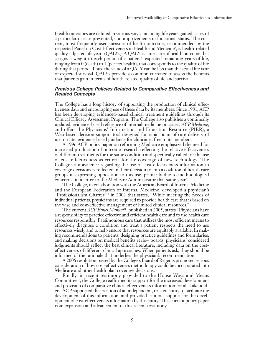Health outcomes are defined in various ways, including life years gained, cases of a particular disease prevented, and improvements in functional status. The current, most frequently used measure of health outcome, recommended by the respected Panel on Cost-Effectiveness in Health and Medicine<sup>8</sup>, is health-related quality-adjusted life years (QALYs). A QALY is a measure of health outcome that assigns a weight to each period of a patient's expected remaining years of life, ranging from  $0$  (death) to  $1$  (perfect health), that corresponds to the quality of life during that period. Thus, the value of a QALY can be less than the actual life year of expected survival. QALYs provide a common currency to assess the benefits that patients gain in terms of health-related quality of life and survival.

#### **Previous College Policies Related to Comparative Effectiveness and Related Concepts**

The College has a long history of supporting the production of clinical effectiveness data and encouraging use of these data by its members. Since 1981, ACP has been developing evidenced-based clinical treatment guidelines through its Clinical Efficacy Assessment Program. The College also publishes a continually updated, evidence-based reference of internal medicine practices, *ACP Medicine*, and offers the Physicians' Information and Education Resource (PIER), a Web-based decision-support tool designed for rapid point-of-care delivery of up-to-date, evidence-based guidance for clinicians, free to its members.

A 1996 ACP policy paper on reforming Medicare emphasized the need for increased production of outcome research reflecting the relative effectiveness of different treatments for the same condition and specifically called for the use of cost-effectiveness as criteria for the coverage of new technology. The College's ambivalence regarding the use of cost-effectiveness information in coverage decisions is reflected in their decision to join a coalition of health care groups in expressing opposition to this use, primarily due to methodological concerns, in a letter to the Medicare Administrator that same year<sup>9</sup>.

The College, in collaboration with the American Board of Internal Medicine and the European Federation of Internal Medicine, developed a physician's "Professionalism Charter"<sup>10</sup> in 2002 that states, "While meeting the needs of individual patients, physicians are required to provide health care that is based on the wise and cost-effective management of limited clinical resources."

The current *ACP Ethics Manual*<sup>11</sup>, published in 2005, states "Physicians have a responsibility to practice effective and efficient health care and to use health care resources responsibly. Parsimonious care that utilizes the most efficient means to effectively diagnose a condition and treat a patient respects the need to use resources wisely and to help ensure that resources are equitably available. In making recommendations to patients, designing practice guidelines and formularies, and making decisions on medical benefits review boards, physicians' considered judgments should reflect the best clinical literature, including data on the costeffectiveness of different clinical approaches. When patients ask, they should be informed of the rationale that underlies the physician's recommendation."

A 2006 resolution passed by the College's Board of Regents promoted serious consideration of how cost-effectiveness methodology could be incorporated into Medicare and other health plan coverage decisions.

Finally, in recent testimony provided to the House Ways and Means Committee<sup>12</sup>, the College reaffirmed its support for the increased development and provision of comparative clinical effectiveness information for all stakeholders. ACP supported the creation of an independent, trusted entity to facilitate the development of this information, and provided cautious support for the development of cost-effectiveness information by this entity. This current policy paper is an expansion and advancement of this recent testimony.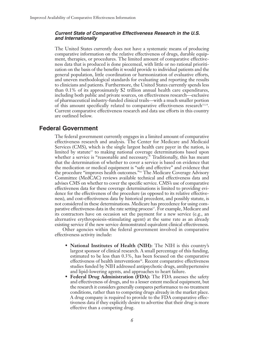#### **Current State of Comparative Effectiveness Research in the U.S. and Internationally**

The United States currently does not have a systematic means of producing comparative information on the relative effectiveness of drugs, durable equipment, therapies, or procedures. The limited amount of comparative effectiveness data that is produced is done piecemeal, with little or no rational prioritization on the basis of the benefits it would provide to individual patients and the general population, little coordination or harmonization of evaluative efforts, and uneven methodological standards for evaluating and reporting the results to clinicians and patients. Furthermore, the United States currently spends less than 0.1% of its approximately \$2 trillion annual health care expenditures, including both public and private sources, on effectiveness research—exclusive of pharmaceutical industry-funded clinical trails—with a much smaller portion of this amount specifically related to comparative effectiveness research<sup>13,14</sup>. Current comparative effectiveness research and data use efforts in this country are outlined below.

# **Federal Government**

The federal government currently engages in a limited amount of comparative effectiveness research and analysis. The Center for Medicare and Medicaid Services (CMS), which is the single largest health care payer in the nation, is limited by statute<sup>15</sup> to making national coverage determinations based upon whether a service is "reasonable and necessary." Traditionally, this has meant that the determination of whether to cover a service is based on evidence that the medication or medical equipment is "safe and effective" and evidence that the procedure "improves health outcomes."16 The Medicare Coverage Advisory Committee (MedCAC) reviews available technical and effectiveness data and advises CMS on whether to cover the specific service. CMS's use of comparative effectiveness data for these coverage determinations is limited to providing evidence for the effectiveness of the procedure (as opposed to its relative effectiveness), and cost-effectiveness data by historical precedent, and possibly statute, is not considered in these determinations. Medicare has precedence for using comparative effectiveness data in the rate setting process<sup>17</sup>. For example, Medicare and its contractors have on occasion set the payment for a new service (e.g., an alternative erythropoiesis-stimulating agent) at the same rate as an already existing service if the new service demonstrated equivalent clinical effectiveness.

Other agencies within the federal government involved in comparative effectiveness activity include:

- **National Institutes of Health (NIH):** The NIH is this country's largest sponsor of clinical research. A small percentage of this funding, estimated to be less than 0.3%, has been focused on the comparative effectiveness of health interventions<sup>18</sup>. Recent comparative effectiveness studies funded by NIH addressed antipsychotic drugs, antihypertensive and lipid-lowering agents, and approaches to heart failure.
- **Federal Drug Administration (FDA):** The FDA assesses the safety and effectiveness of drugs, and to a lesser extent medical equipment, but the research it considers generally compares performance to no treatment conditions, rather than to competing drugs already in the market place. A drug company is required to provide to the FDA comparative effectiveness data if they explicitly desire to advertise that their drug is more effective than a competing drug.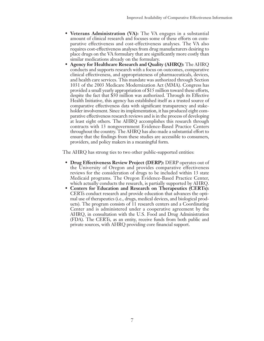- **Veterans Administration (VA):** The VA engages in a substantial amount of clinical research and focuses some of these efforts on comparative effectiveness and cost-effectiveness analyses. The VA also requires cost-effectiveness analyses from drug manufacturers desiring to place drugs on the VA formulary that are significantly more costly than similar medications already on the formulary.
- **Agency for Healthcare Research and Quality (AHRQ):** The AHRQ conducts and supports research with a focus on outcomes, comparative clinical effectiveness, and appropriateness of pharmaceuticals, devices, and health care services. This mandate was authorized through Section 1031 of the 2003 Medicare Modernization Act (MMA). Congress has provided a small yearly appropriation of \$15 million toward these efforts, despite the fact that \$50 million was authorized. Through its Effective Health Initiative, this agency has established itself as a trusted source of comparative effectiveness data with significant transparency and stakeholder involvement. Since its implementation, it has produced eight comparative effectiveness research reviews and is in the process of developing at least eight others. The AHRQ accomplishes this research through contracts with 13 nongovernment Evidence-Based Practice Centers throughout the country. The AHRQ has also made a substantial effort to ensure that the findings from these studies are accessible to consumers, providers, and policy makers in a meaningful form.

The AHRQ has strong ties to two other public-supported entities:

- **Drug Effectiveness Review Project (DERP):** DERP operates out of the University of Oregon and provides comparative effectiveness reviews for the consideration of drugs to be included within 13 state Medicaid programs. The Oregon Evidence-Based Practice Center, which actually conducts the research, is partially supported by AHRQ.
- **Centers for Education and Research on Therapeutics (CERTs):** CERTs conduct research and provide education that advances the optimal use of therapeutics (i.e., drugs, medical devices, and biological products). The program consists of 11 research centers and a Coordinating Center and is administered under a cooperative agreement by the AHRQ, in consultation with the U.S. Food and Drug Administration (FDA). The CERTs, as an entity, receive funds from both public and private sources, with AHRQ providing core financial support.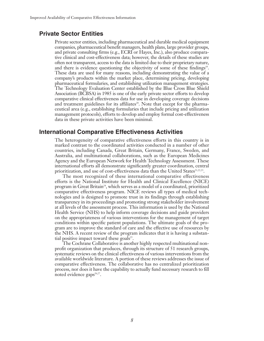# **Private Sector Entities**

Private sector entities, including pharmaceutical and durable medical equipment companies, pharmaceutical benefit managers, health plans, large provider groups, and private consulting firms (e.g., ECRI or Hayes, Inc.), also produce comparative clinical and cost-effectiveness data; however, the details of these studies are often not transparent, access to the data is limited due to their proprietary nature, and there is evidence questioning the objectivity of some of these findings<sup>19</sup>. These data are used for many reasons, including demonstrating the value of a company's products within the market place, determining pricing, developing pharmaceutical formularies, and establishing utilization management strategies. The Technology Evaluation Center established by the Blue Cross Blue Shield Association (BCBSA) in 1985 is one of the early private sector efforts to develop comparative clinical effectiveness data for use in developing coverage decisions and treatment guidelines for its affiliates<sup>20</sup>. Note that except for the pharmaceutical area (e.g., establishing formularies that include pricing and utilization management protocols), efforts to develop and employ formal cost-effectiveness data in these private activities have been minimal.

### **International Comparative Effectiveness Activities**

The heterogeneity of comparative effectiveness efforts in this country is in marked contrast to the coordinated activities conducted in a number of other countries, including Canada, Great Britain, Germany, France, Sweden, and Australia, and multinational collaborations, such as the European Medicines Agency and the European Network for Health Technology Assessment. These international efforts all demonstrate significantly greater coordination, central prioritization, and use of cost-effectiveness data than the United States $21,22,23$ .

The most recognized of these international comparative effectiveness efforts is the National Institute for Health and Clinical Excellence (NICE) program in Great Britain<sup>24</sup>, which serves as a model of a coordinated, prioritized comparative effectiveness program. NICE reviews all types of medical technologies and is designed to promote trust in its findings through establishing transparency in its proceedings and promoting strong stakeholder involvement at all levels of the assessment process. This information is used by the National Health Service (NHS) to help inform coverage decisions and guide providers on the appropriateness of various interventions for the management of target conditions within specific patient populations. The ultimate goals of the program are to improve the standard of care and the effective use of resources by the NHS. A recent review of the program indicates that it is having a substantial positive impact toward these goals $25$ .

The Cochrane Collaborative is another highly respected multinational nonprofit organization that produces, through its structure of 51 research groups, systematic reviews on the clinical effectiveness of various interventions from the available worldwide literature. A portion of these reviews addresses the issue of comparative effectiveness. The collaborative has no centralized prioritization process, nor does it have the capability to actually fund necessary research to fill noted evidence gaps<sup>26,27</sup>.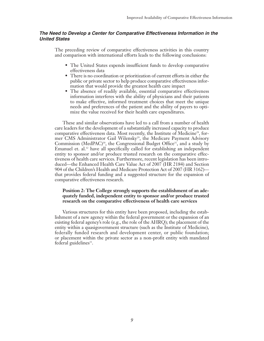#### **The Need to Develop a Center for Comparative Effectiveness Information in the United States**

The preceding review of comparative effectiveness activities in this country and comparison with international efforts leads to the following conclusions:

- The United States expends insufficient funds to develop comparative effectiveness data
- There is no coordination or prioritization of current efforts in either the public or private sector to help produce comparative effectiveness information that would provide the greatest health care impact
- The absence of readily available, essential comparative effectiveness information interferes with the ability of physicians and their patients to make effective, informed treatment choices that meet the unique needs and preferences of the patient and the ability of payers to optimize the value received for their health care expenditures.

These and similar observations have led to a call from a number of health care leaders for the development of a substantially increased capacity to produce comparative effectiveness data. Most recently, the Institute of Medicine<sup>28</sup>, former CMS Administrator Gail Wilensky<sup>29</sup>, the Medicare Payment Advisory Commission (MedPAC)<sup>30</sup>, the Congressional Budget Office<sup>31</sup>, and a study by Emanuel et. al.<sup>32</sup> have all specifically called for establishing an independent entity to sponsor and/or produce trusted research on the comparative effectiveness of health care services. Furthermore, recent legislation has been introduced—the Enhanced Health Care Value Act of 2007 (HR 2184) and Section 904 of the Children's Health and Medicare Protection Act of 2007 (HR 3162) that provides federal funding and a suggested structure for the expansion of comparative effectiveness research.

#### **Position 2: The College strongly supports the establishment of an adequately funded, independent entity to sponsor and/or produce trusted research on the comparative effectiveness of health care services**

Various structures for this entity have been proposed, including the establishment of a new agency within the federal government or the expansion of an existing federal agency's role (e.g., the role of the AHRQ); the placement of the entity within a quasigovernment structure (such as the Institute of Medicine), federally funded research and development center, or public foundation; or placement within the private sector as a non-profit entity with mandated federal guidelines $33$ .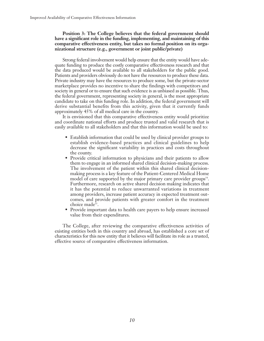**Position 3: The College believes that the federal government should have a significant role in the funding, implementing, and maintaining of this comparative effectiveness entity, but takes no formal position on its organizational structure (e.g., government or joint public/private)** 

Strong federal involvement would help ensure that the entity would have adequate funding to produce the costly comparative effectiveness research and that the data produced would be available to all stakeholders for the public good. Patients and providers obviously do not have the resources to produce these data. Private industry may have the resources to produce some, but the private-sector marketplace provides no incentive to share the findings with competitors and society in general or to ensure that such evidence is as unbiased as possible. Thus, the federal government, representing society in general, is the most appropriate candidate to take on this funding role. In addition, the federal government will derive substantial benefits from this activity, given that it currently funds approximately 45% of all medical care in the country.

It is envisioned that this comparative effectiveness entity would prioritize and coordinate national efforts and produce trusted and valid research that is easily available to all stakeholders and that this information would be used to:

- Establish information that could be used by clinical provider groups to establish evidence-based practices and clinical guidelines to help decrease the significant variability in practices and costs throughout the county.
- Provide critical information to physicians and their patients to allow them to engage in an informed shared clinical decision-making process. The involvement of the patient within this shared clinical decisionmaking process is a key feature of the Patient-Centered Medical Home model of care supported by the major primary care provider groups<sup>34</sup>. Furthermore, research on active shared decision making indicates that it has the potential to reduce unwarranted variations in treatment among providers, increase patient accuracy in expected treatment outcomes, and provide patients with greater comfort in the treatment choice made<sup>35</sup>.
- Provide important data to health care payers to help ensure increased value from their expenditures.

The College, after reviewing the comparative effectiveness activities of existing entities both in this country and abroad, has established a core set of characteristics for this new entity that it believes will facilitate its role as a trusted, effective source of comparative effectiveness information.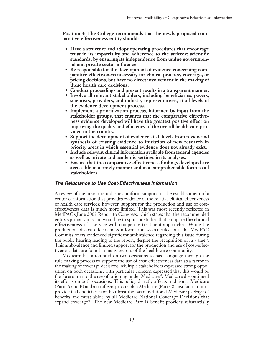**Position 4: The College recommends that the newly proposed comparative effectiveness entity should:**

- **Have a structure and adopt operating procedures that encourage trust in its impartiality and adherence to the strictest scientific standards, by ensuring its independence from undue governmental and private sector influence.**
- **Be responsible for the development of evidence concerning comparative effectiveness necessary for clinical practice, coverage, or pricing decisions, but have no direct involvement in the making of these health care decisions.**
- **Conduct proceedings and present results in a transparent manner.**
- **Involve all relevant stakeholders, including beneficiaries, payers, scientists, providers, and industry representatives, at all levels of the evidence development process.**
- **Implement a prioritization process, informed by input from the stakeholder groups, that ensures that the comparative effectiveness evidence developed will have the greatest positive effect on improving the quality and efficiency of the overall health care provided in the country.**
- **Support the development of evidence at all levels from review and synthesis of existing evidence to initiation of new research in priority areas in which essential evidence does not already exist.**
- **Include relevant clinical information available from federal agencies as well as private and academic settings in its analyses.**
- **Ensure that the comparative effectiveness findings developed are accessible in a timely manner and in a comprehensible form to all stakeholders.**

#### **The Reluctance to Use Cost-Effectiveness Information**

A review of the literature indicates uniform support for the establishment of a center of information that provides evidence of the relative clinical effectiveness of health care services; however, support for the production and use of costeffectiveness data is much more limited. This was most recently reflected in MedPAC's June 2007 Report to Congress, which states that the recommended entity's primary mission would be to sponsor studies that compare **the clinical effectiveness** of a service with competing treatment approaches. While the production of cost-effectiveness information wasn't ruled out, the MedPAC Commissioners evidenced significant ambivalence regarding this issue during the public hearing leading to the report, despite the recognition of its value.<sup>36</sup>. This ambivalence and limited support for the production and use of cost-effectiveness data are found in many sectors of the health care community.

Medicare has attempted on two occasions to pass language through the rule-making process to support the use of cost-effectiveness data as a factor in the making of coverage decisions. Multiple stakeholders expressed strong opposition on both occasions, with particular concern expressed that this would be the forerunner to the use of rationing under Medicare<sup>37</sup>. Medicare discontinued its efforts on both occasions. This policy directly affects traditional Medicare (Parts A and B) and also affects private plan Medicare (Part C), insofar as it must provide its beneficiaries with at least the basic traditional Medicare package of benefits and must abide by all Medicare National Coverage Decisions that expand coverage<sup>38</sup>. The new Medicare Part  $D$  benefit provides substantially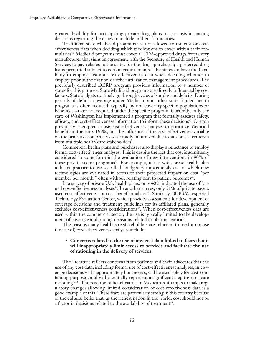greater flexibility for participating private drug plans to use costs in making decisions regarding the drugs to include in their formularies.

Traditional state Medicaid programs are not allowed to use cost or costeffectiveness data when deciding which medications to cover within their formularies<sup>39.</sup> Medicaid programs must cover all FDA-approved drugs from every manufacturer that signs an agreement with the Secretary of Health and Human Services to pay rebates to the states for the drugs purchased; a preferred drug list is permitted subject to certain requirements. The states do have the flexibility to employ cost and cost-effectiveness data when deciding whether to employ prior authorization or other utilization management procedures. The previously described DERP program provides information to a number of states for this purpose. State Medicaid programs are directly influenced by cost factors. State budgets routinely go through cycles of surplus and deficits. During periods of deficit, coverage under Medicaid and other state-funded health programs is often reduced, typically by not covering specific populations or benefits that are not required under the specific program. Currently, only the state of Washington has implemented a program that formally assesses safety, efficacy, and cost-effectiveness information to inform these decisions $40$ . Oregon previously attempted to use cost-effectiveness analyses to prioritize Medicaid benefits in the early 1990s, but the influence of the cost-effectiveness variable on the prioritization process was rapidly minimized due to substantial criticism from multiple health care stakeholders<sup>41</sup>.

Commercial health plans and purchasers also display a reluctance to employ formal cost-effectiveness analyses. This is despite the fact that cost is admittedly considered in some form in the evaluation of new interventions in 90% of these private sector programs<sup>42</sup>. For example, it is a widespread health plan industry practice to use so-called "budgetary impact analyses," in which new technologies are evaluated in terms of their projected impact on cost "per member per month," often without relating cost to patient outcomes<sup>43</sup>.

In a survey of private U.S. health plans, only 40% indicated the use of formal cost-effectiveness analyses<sup>44</sup>. In another survey, only 51% of private payers used cost-effectiveness or cost-benefit analyses<sup>45</sup>. Similarly, BCBSA's respected Technology Evaluation Center, which provides assessments for development of coverage decisions and treatment guidelines for its affiliated plans, generally excludes cost-effectiveness considerations<sup>46</sup>. When cost-effectiveness data are used within the commercial sector, the use is typically limited to the development of coverage and pricing decisions related to pharmaceuticals.

The reasons many health care stakeholders are reluctant to use (or oppose the use of) cost-effectiveness analyses include:

#### **• Concerns related to the use of any cost data linked to fears that it will inappropriately limit access to services and facilitate the use of rationing in the delivery of services.**

The literature reflects concerns from patients and their advocates that the use of any cost data, including formal use of cost-effectiveness analyses, in coverage decisions will inappropriately limit access, will be used solely for cost-containing purposes, and will essentially represent a significant step towards care rationing<sup>47,48</sup>. The reaction of beneficiaries to Medicare's attempts to make regulatory changes allowing limited consideration of cost-effectiveness data is a good example of this. These fears are particularly strong in this country because of the cultural belief that, as the richest nation in the world, cost should not be a factor in decisions related to the availability of treatment<sup>49</sup>.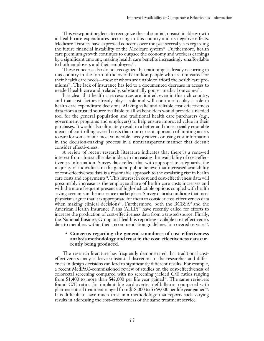This viewpoint neglects to recognize the substantial, unsustainable growth in health care expenditures occurring in this country and its negative effects. Medicare Trustees have expressed concerns over the past several years regarding the future financial instability of the Medicare system<sup>50</sup>. Furthermore, health care premium growth continues to outpace the economy and workers earnings by a significant amount, making health care benefits increasingly unaffordable to both employers and their employees<sup>51</sup>.

These concerns also do not recognize that rationing is already occurring in this country in the form of the over 47 million people who are uninsured for their health care needs—most of whom are unable to afford the health care premiums52. The lack of insurance has led to a documented decrease in access to needed health care and, relatedly, substantially poorer medical outcomes<sup>53</sup>.

It is clear that health care resources are limited, even in this rich country, and that cost factors already play a role and will continue to play a role in health care expenditure decisions. Making valid and reliable cost-effectiveness data from a trusted source available to all stakeholders would provide a needed tool for the general population and traditional health care purchasers (e.g., government programs and employers) to help ensure improved value in their purchases. It would also ultimately result in a better and more socially equitable means of controlling overall costs than our current approach of limiting access to care for some of our most vulnerable, needy citizens or using cost information in the decision-making process in a nontransparent manner that doesn't consider effectiveness.

A review of recent research literature indicates that there is a renewed interest from almost all stakeholders in increasing the availability of cost-effectiveness information. Survey data reflect that with appropriate safeguards, the majority of individuals in the general public believe that increased availability of cost-effectiveness data is a reasonable approach to the escalating rise in health care costs and copayments54. This interest in cost and cost-effectiveness data will presumably increase as the employee share of health care costs increases and with the more frequent presence of high-deductible options coupled with health saving accounts in the insurance marketplace. Survey data also indicate that most physicians agree that it is appropriate for them to consider cost-effectiveness data when making clinical decisions<sup>55</sup>. Furthermore, both the BCBSA<sup>56</sup> and the American Health Insurance Plans (AHIP)<sup>57</sup> have recently called for efforts to increase the production of cost-effectiveness data from a trusted source. Finally, the National Business Group on Health is reporting available cost-effectiveness data to members within their recommendation guidelines for covered services<sup>58</sup>.

#### **• Concerns regarding the general soundness of cost-effectiveness analysis methodology and trust in the cost-effectiveness data currently being produced.**

The research literature has frequently demonstrated that traditional costeffectiveness analyses leave substantial discretion to the researcher and differences in design decisions can lead to significantly different results. For example, a recent MedPAC-commissioned review of studies on the cost-effectiveness of colorectal screening compared with no screening yielded C/E ratios ranging from \$1,400 to more than \$42,000 per life year gained<sup>59</sup>. The same reviewers found C/E ratios for implantable cardioverter defibillators compared with pharmaceutical treatment ranged from \$18,000 to \$569,000 per life year gained<sup> $\omega$ </sup>. It is difficult to have much trust in a methodology that reports such varying results in addressing the cost-effectiveness of the same treatment service.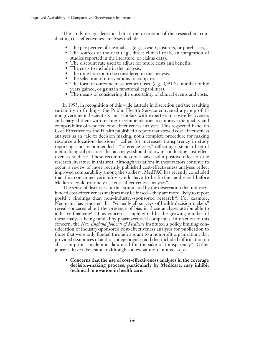The study design decisions left to the discretion of the researchers conducting cost-effectiveness analyses include:

- The perspective of the analysis (e.g., society, insurers, or purchasers).
- The sources of the data (e.g., direct clinical trials, an integration of studies reported in the literature, or claims data).
- The discount rate used to adjust for future costs and benefits.
- The costs to include in the analysis.
- The time horizon to be considered in the analysis.
- The selection of interventions to compare.
- The form of outcome measurement used (e.g., QALYs, number of life years gained, or gains in functional capabilities).
- The means of considering the uncertainty of clinical events and costs.

In 1993, in recognition of this wide latitude in discretion and the resulting variability in findings, the Public Health Service convened a group of 13 nongovernmental scientists and scholars with expertise in cost-effectiveness and charged them with making recommendations to improve the quality and comparability of reported cost-effectiveness analyses. This respected Panel on Cost-Effectiveness and Health published a report that viewed cost-effectiveness analyses as an "aid to decision making, not a complete procedure for making resource allocation decisions"; called for increased transparency in study reporting; and recommended a "reference case," reflecting a standard set of methodological practices that an analyst should follow in conducting cost-effectiveness studies<sup>61</sup>. These recommendations have had a positive effect on the research literature in this area. Although variations in these factors continue to occur, a review of more recently published cost-effectiveness analyses reflect improved comparability among the studies $\mathcal{C}$ . MedPAC has recently concluded that this continued variability would have to be further addressed before Medicare could routinely use cost-effectiveness analyses<sup>63</sup>.

The sense of distrust is further stimulated by the observation that industryfunded cost-effectiveness analyses may be biased—they are more likely to report positive findings than non-industry-sponsored research<sup>64</sup>. For example, Neumann has reported that "virtually all surveys of health decision makers" reveal concerns about the presence of bias in those analyses attributable to industry financing<sup> $65$ </sup>. This concern is highlighted by the growing number of these analyses being funded by pharmaceutical companies. In reaction to this concern, the *New England Journal of Medicine* instituted a policy limiting consideration of industry-sponsored cost-effectiveness analyses for publication to those that were only funded through a grant to a nonprofit organization; that provided assurances of author independence; and that included information on all assumptions made and data used for the sake of transparency<sup>66</sup>. Other journals have taken similar although somewhat more limited steps.

**• Concerns that the use of cost-effectiveness analyses in the coverage decision-making process, particularly by Medicare, may inhibit technical innovation in health care.**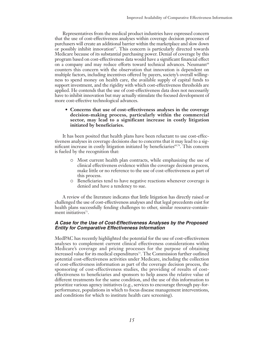Representatives from the medical product industries have expressed concern that the use of cost-effectiveness analyses within coverage decision processes of purchasers will create an additional barrier within the marketplace and slow down or possibly inhibit innovation $67$ . This concern is particularly directed towards Medicare because of its substantial purchasing power. Denial of coverage by this program based on cost-effectiveness data would have a significant financial effect on a company and may reduce efforts toward technical advances. Neumann<sup>68</sup> counters this concern with the observation that innovation is dependent on multiple factors, including incentives offered by payers, society's overall willingness to spend money on health care, the available supply of capital funds to support investment, and the rigidity with which cost-effectiveness thresholds are applied. He contends that the use of cost-effectiveness data does not necessarily have to inhibit innovation but may actually stimulate the focused development of more cost-effective technological advances.

#### **• Concerns that use of cost-effectiveness analyses in the coverage decision-making process, particularly within the commercial sector, may lead to a significant increase in costly litigation initiated by beneficiaries.**

It has been posited that health plans have been reluctant to use cost-effectiveness analyses in coverage decisions due to concerns that it may lead to a significant increase in costly litigation initiated by beneficiaries $69,70$ . This concern is fueled by the recognition that:

- Most current health plan contracts, while emphasizing the use of clinical effectiveness evidence within the coverage decision process, make little or no reference to the use of cost-effectiveness as part of this process.
- $\circ$  Beneficiaries tend to have negative reactions whenever coverage is denied and have a tendency to sue.

A review of the literature indicates that little litigation has directly raised or challenged the use of cost-effectiveness analyses and that legal precedents exist for health plans successfully fending challenges to other, similar resource-containment initiatives<sup>71</sup>.

#### **A Case for the Use of Cost-Effectiveness Analyses by the Proposed Entity for Comparative Effectiveness Information**

MedPAC has recently highlighted the potential for the use of cost-effectiveness analyses to complement current clinical effectiveness considerations within Medicare's coverage and pricing processes for the purpose of obtaining increased value for its medical expenditures<sup>72</sup>. The Commission further outlined potential cost-effectiveness activities under Medicare, including the collection of cost-effectiveness information as part of the coverage decision process, the sponsoring of cost-effectiveness studies, the providing of results of costeffectiveness to beneficiaries and sponsors to help assess the relative value of different treatments for the same condition, and the use of this information to prioritize various agency initiatives (e.g., services to encourage through pay-forperformance, populations in which to focus disease management interventions, and conditions for which to institute health care screening).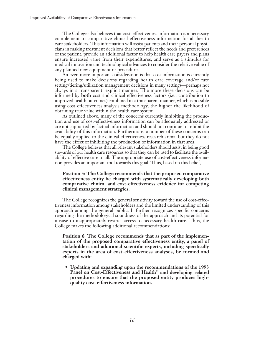The College also believes that cost-effectiveness information is a necessary complement to comparative clinical effectiveness information for all health care stakeholders. This information will assist patients and their personal physicians in making treatment decisions that better reflect the needs and preferences of the patient, provide an additional factor to help health care payers and plans ensure increased value from their expenditures, and serve as a stimulus for medical innovation and technological advances to consider the relative value of any planned new equipment or procedure.

An even more important consideration is that cost information is currently being used to make decisions regarding health care coverage and/or rate setting/tiering/utilization management decisions in many settings—perhaps not always in a transparent, explicit manner. The more these decisions can be informed by **both** cost and clinical effectiveness factors (i.e., contribution to improved health outcomes) combined in a transparent manner, which is possible using cost-effectiveness analysis methodology, the higher the likelihood of obtaining true value within the health care system.

As outlined above, many of the concerns currently inhibiting the production and use of cost-effectiveness information can be adequately addressed or are not supported by factual information and should not continue to inhibit the availability of this information. Furthermore, a number of these concerns can be equally applied to the clinical effectiveness research arena, but they do not have the effect of inhibiting the production of information in that area.

The College believes that all relevant stakeholders should assist in being good stewards of our health care resources so that they can be used to facilitate the availability of effective care to all. The appropriate use of cost-effectiveness information provides an important tool towards this goal. Thus, based on this belief,

#### **Position 5: The College recommends that the proposed comparative effectiveness entity be charged with systematically developing both comparative clinical and cost-effectiveness evidence for competing clinical management strategies.**

The College recognizes the general sensitivity toward the use of cost-effectiveness information among stakeholders and the limited understanding of this approach among the general public. It further recognizes specific concerns regarding the methodological soundness of the approach and its potential for misuse to inappropriately restrict access to necessary health care. Thus, the College makes the following additional recommendations:

**Position 6: The College recommends that as part of the implementation of the proposed comparative effectiveness entity, a panel of stakeholders and additional scientific experts, including specifically experts in the area of cost-effectiveness analyses, be formed and charged with:**

• **Updating and expanding upon the recommendations of the 1993** Panel on Cost-Effectiveness and Health<sup>73</sup> and developing related **procedures to ensure that the proposed entity produces highquality cost-effectiveness information.**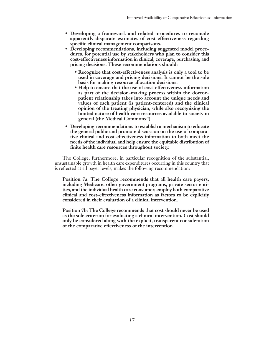- **Developing a framework and related procedures to reconcile apparently disparate estimates of cost effectiveness regarding specific clinical management comparisons.**
- **Developing recommendations, including suggested model procedures, for potential use by stakeholders who plan to consider this cost-effectiveness information in clinical, coverage, purchasing, and pricing decisions. These recommendations should:**
	- **Recognize that cost-effectiveness analysis is only a tool to be used in coverage and pricing decisions. It cannot be the sole basis for making resource allocation decisions.**
	- **Help to ensure that the use of cost-effectiveness information as part of the decision-making process within the doctor– patient relationship takes into account the unique needs and values of each patient (is patient-centered) and the clinical opinion of the treating physician, while also recognizing the limited nature of health care resources available to society in general (the Medical Commons74).**
- **Developing recommendations to establish a mechanism to educate the general public and promote discussion on the use of comparative clinical and cost-effectiveness information to both meet the needs of the individual and help ensure the equitable distribution of finite health care resources throughout society.**

The College, furthermore, in particular recognition of the substantial, unsustainable growth in health care expenditures occurring in this country that is reflected at all payer levels, makes the following recommendation:

**Position 7a: The College recommends that all health care payers, including Medicare, other government programs, private sector entities, and the individual health care consumer, employ both comparative clinical and cost-effectiveness information as factors to be explicitly considered in their evaluation of a clinical intervention.**

**Position 7b: The College recommends that cost should never be used as the sole criterion for evaluating a clinical intervention. Cost should only be considered along with the explicit, transparent consideration of the comparative effectiveness of the intervention.**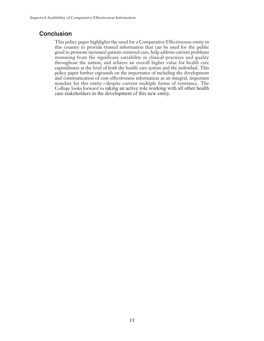# **Conclusion**

This policy paper highlights the need for a Comparative Effectiveness entity in this country to provide trusted information that can be used for the public good to promote increased patient-centered care, help address current problems stemming from the significant variability in clinical practices and quality throughout the nation, and achieve an overall higher value for health care expenditures at the level of both the health care system and the individual. This policy paper further expounds on the importance of including the development and communication of cost-effectiveness information as an integral, important mandate for this entity—despite current multiple forms of resistance. The College looks forward to taking an active role working with all other health care stakeholders in the development of this new entity.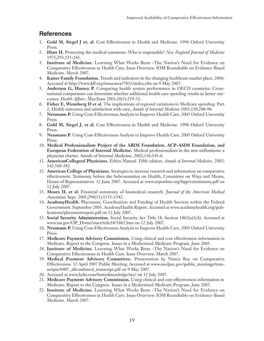# **References**

- 1. **Gold M, Siegel J et. al.** Cost Effectiveness in Health and Medicine. 1996 Oxford University Press.
- 2. **Hiatt H.** Protecting the medical commons: Who is responsible? *New England Journal of Medicine* 1975;293:235-241.
- 3. **Institute of Medicine.** Learning What Works Bests -The Nation's Need for Evidence on Comparative Effectiveness in Health Care. Issue Overview. IOM Roundtable on Evidence–Based Medicine. March 2007.
- 4. **Kaiser Family Foundation.** Trends and indicators in the changing healthcare market place. 2006. Accessed at http://www.kff.org/insurance/7031/index.cfm on 9 May 2007.
- 5. **Anderson G, Hussey P.** Comparing health system performance in OECD countries: Crossnational comparisons can determine whether additional health care spending results in better outcomes. *Health Affairs.* May/June 2001;20(3):219-32.
- 6. **Fisher E, Wennberg D et al.** The implications of regional variations in Medicare spending: Part 2, Health outcomes and satisfaction with care, *Annals of Internal Medicine* 2003;138:288-98.
- 7. **Neumann P.** Using Cost-Effectiveness Analysis to Improve Health Care. 2005 Oxford University Press.
- 8. **Gold M, Siegel J, et al.** Cost Effectiveness in Health and Medicine. 1996 Oxford University Press.
- 9. **Neumann P.** Using Cost-Effectiveness Analysis to Improve Health Care. 2005 Oxford University Press.
- 10. **Medical Professionalism Project of the ABIM Foundation, ACP-ASIM Foundation, and European Federation of Internal Medicine.** Medical professionalism in the new millennium: a physician charter. Annals of Internal Medicine. 2002;136:243-6.
- 11. **AmericanCollegeof Physicians.** Ethics Manual. Fifth edition. *Annals of Internal Medicine.* 2005; 142:560-582.
- 12. **American College of Physicians.** Strategies to increase research and information on comparative effectiveness. Testimony before the Subcommittee on Health, Committee on Ways and Means, House of Representatives. 12 June 2007. Accessed at www.acponline.org/hpp/cetestimony.pdf on 12 July 2007.
- 13. **Moses H, et al.** Financial autonomy of biomedical research. *Journal of the American Medical Association,* Sept. 2005;294(11):1333-1342.
- 14. **AcademyHealth.** Placement, Coordination and Funding of Health Services within the Federal Government. September 2005. AcademyHealth Report. Accessed at www.academyhealth.org/publications/placementreport.pdf on 12 July 2007.
- 15. **Social Security Administration.** Social Security Act Title 18, Section 1862(a)1(A). Accessed at www.ssa.gov/OP\_Home/ssact/title18/1862.htm on 12 July 2007.
- 16. **Neumann P.** Using Cost-Effectiveness Analysis to Improve Health Care. 2005 Oxford University Press.
- 17. **Medicare Payment Advisory Commission.** Using clinical and cost effectiveness information in Medicare. Report to the Congress. Issues in a Modernized Medicare Program. June 2005.
- 18. **Institute of Medicine.** Learning What Works Bests -The Nation's Need for Evidence on Comparative Effectiveness in Health Care. Issue Overview. March 2007.
- 19. **Medical Payment Advisory Committee.** Presentation by Nancy Ray on Comparative Effectiveness. 12 April 2007 Public Meeting. Accessed at www.medpac.gov/public\_meetings/transcripts/0407\_allcombined\_transcript.pdf on 9 May 2007
- 20. Accessed at www.bcbs.com/betterknowledge/tec/ on 12 July 2007.
- 21. **Medicare Payment Advisory Commission.** Using clinical and cost effectiveness information in Medicare. Report to the Congress. Issues in a Modernized Medicare Program. June 2005.
- 22. **Institute of Medicine.** Learning What Works Bests -The Nation's Need for Evidence on Comparative Effectiveness in Health Care. Issue Overview. IOM Roundtable on Evidence–Based Medicine. March 2007.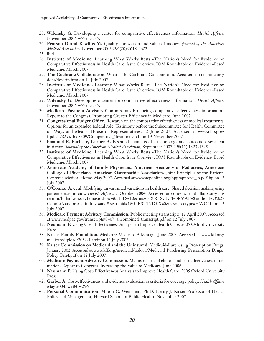- 23. **Wilensky G.** Developing a center for comparative effectiveness information. *Health Affairs.* November 2006 w572-w585.
- 24. **Pearson D and Rawlins M.** Quality, innovation and value of money. *Journal of the American Medical Association,* November 2005;294(20):2618-2622.
- 25. ibid.
- 26. **Institute of Medicine.** Learning What Works Bests -The Nation's Need for Evidence on Comparative Effectiveness in Health Care. Issue Overview. IOM Roundtable on Evidence–Based Medicine. March 2007.
- 27. **The Cochrane Collaboration.** What is the Cochrane Collaboration? Accessed at cochrane.org/ docs/descrip.htm on 12 July 2007.
- 28. **Institute of Medicine.** Learning What Works Bests -The Nation's Need for Evidence on Comparative Effectiveness in Health Care. Issue Overview. IOM Roundtable on Evidence–Based Medicine. March 2007.
- 29. **Wilensky G.** Developing a center for comparative effectiveness information. *Health Affairs.* November 2006 w572-w585.
- 30. **Medicare Payment Advisory Commission.** Producing comparative-effectiveness information. Report to the Congress. Promoting Greater Efficiency in Medicare. June 2007.
- 31. **Congressional Budget Office.** Research on the comparative effectiveness of medical treatments: Options for an expanded federal role. Testimony before the Subcommittee for Health, Committee on Ways and Means, House of Representatives. 12 June 2007. Accessed at www.cbo.gov/ ftpdocs/82xx/doc8209/Comparative\_Testimony.pdf on 19 November 2007.
- 32. **Emanuel E, Fuchs V, Garber A.** Essential elements of a technology and outcome assessment initiative. *Journal of the American Medical Association,* September 2007;298(11):1323-1325.
- 33. **Institute of Medicine.** Learning What Works Bests -The Nation's Need for Evidence on Comparative Effectiveness in Health Care. Issue Overview. IOM Roundtable on Evidence–Based Medicine. March 2007.
- 34. **American Academy of Family Physicians, American Academy of Pediatrics, American College of Physicians, American Osteopathic Association.** Joint Principles of the Patient-Centered Medical Home. May 2007. Accessed at www.acponline.org/hpp/approve\_jp.pdf?hp on 12 July 2007.
- 35. **O'Connor A, et al.** Modifying unwarranted variations in health care: Shared decision making using patient decision aids. *Health Affairs.* 7 October 2004. Accessed at content.healthaffairs.org/cgi/ reprint/hlthaff.var.63v1?maxtoshow=&HITS=10&hits=10&RESULTFORMAT=&author1=O%27 Connor&andorexactfulltext=and&searchid=1&FIRSTINDEX=0&resourcetype=HWCIT on 12 July 2007.
- 36. **Medicare Payment Advisory Commission.** Public meeting (transcript). 12 April 2007. Accessed at www.medpac.gov/transcripts/0407\_allcombined\_transcript.pdf on 12 July 2007.
- 37. **Neumann P.** Using Cost-Effectiveness Analysis to Improve Health Care. 2005 Oxford University Press.
- 38. **Kaiser Family Foundition.** Medicare-Medicare Advantage. June 2007. Accessed at www.kff.org/ medicare/upload/2052-10.pdf on 12 July 2007.
- 39. **Kaiser Commission on Medicaid and the Uninsured.** Medicaid-Purchasing Prescription Drugs. January 2002. Accessed at www.kff.org/medicaid/upload/Medicaid-Purchasing-Prescription-Drugs-Policy-Brief.pdf on 12 July 2007.
- 40. **Medicare Payment Advisory Commission.** Medicare's use of clinical and cost effectiveness information. Report to Congress. Increasing the Value of Medicare. June 2006.
- 41. **Neumann P.** Using Cost-Effectiveness Analysis to Improve Health Care. 2005 Oxford University Press.
- 42. **Garber A.** Cost-effectiveness and evidence evaluation as criteria for coverage policy. *Health Affairs* May 2004. w284-w296.
- 43. **Personal Communication.** Milton C. Weinstein, Ph.D. Henry J. Kaiser Professor of Health Policy and Management, Harvard School of Public Health. November 2007.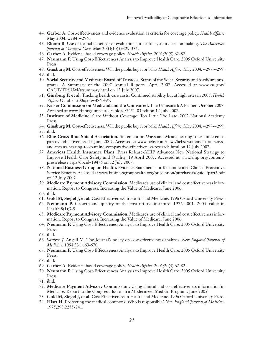- 44. **Garber A.** Cost-effectiveness and evidence evaluation as criteria for coverage policy. *Health Affairs* May 2004. w284-w296.
- 45. **Bloom B.** Use of formal benefit/cost evaluations in health system decision making. *The American Journal of Managed Care.* May 2004;10(5):329-335.
- 46. **Garber A.** Evidence based coverage policy. *Health Affairs.* 2001;20(5):62-82.
- 47. **Neumann P.** Using Cost-Effectiveness Analysis to Improve Health Care. 2005 Oxford University Press.
- 48. **Ginsburg M.** Cost-effectiveness: Will the public buy it or balk? *Health Affairs.* May 2004. w297-w299. 49. ibid.
- 50. **Social Security and Medicare Board of Trustees.** Status of the Social Security and Medicare programs: A Summary of the 2007 Annual Reports. April 2007. Accessed at www.ssa.gov/ OACT/TRSUM/trsummary.html on 12 July 2007.
- 51. **Ginsburg P, et al.** Tracking health care costs: Continued stability but at high rates in 2005. *Health Affairs* October 2006;25:w486-495.
- 52. **Kaiser Commission on Medicaid and the Uninsured.** The Uninsured: A Primer. October 2007. Accessed at www.kff.org/uninsured/upload/7451-03.pdf on 12 July 2007.
- 53. **Institute of Medicine.** Care Without Coverage: Too Little Too Late. 2002 National Academy Press.
- 54. **Ginsburg M.** Cost-effectiveness: Will the public buy it or balk? *Health Affairs.* May 2004. w297-w299.
- 55. ibid.
- 56. **Blue Cross Blue Shield Association.** Statement on Ways and Means hearing to examine comparative effectiveness. 12 June 2007. Accessed at www.bcbs.com/news/bcbsa/statement-on-waysand-means-hearing-to-examine-comparative-effectiveness-research.html on 12 July 2007.
- 57. **Americas Health Insurance Plans.** Press Release-AHIP Advances New National Strategy to Improve Health Care Safety and Quality. 19 April 2007. Accessed at www.ahip.org/content/ pressrelease.aspx?docid=19476 on 12 July 2007.
- 58. **National Business Group on Health.** Evidence Statements for Recommended Clinical Preventive Service Benefits. Accessed at www.businessgrouphealth.org/prevention/purchasers/guide/part3.pdf on 12 July 2007.
- 59. **Medicare Payment Advisory Commission.** Medicare's use of clinical and cost effectiveness information. Report to Congress. Increasing the Value of Medicare. June 2006.
- 60. ibid.
- 61. **Gold M, Siegel J, et al.** Cost Effectiveness in Health and Medicine. 1996 Oxford University Press.
- 62. **Neumann P.** Growth and quality of the cost-utility literature. 1976-2001. 2005 Value in Health:8(1);3-9.
- 63. **Medicare Payment Advisory Commission.** Medicare's use of clinical and cost effectiveness information. Report to Congress. Increasing the Value of Medicare. June 2006.
- 64. **Neumann P.** Using Cost-Effectiveness Analysis to Improve Health Care. 2005 Oxford University Press.
- 65. ibid.
- 66. *Kassirer J.* Angell M. The Journal's policy on cost-effectiveness analyses. *New England Journal of Medicine.* 1994;331:669-670.
- 67. **Neumann P.** Using Cost-Effectiveness Analysis to Improve Health Care. 2005 Oxford University Press.
- 68. ibid.
- 69. **Garber A.** Evidence based coverage policy. *Health Affairs.* 2001;20(5):62-82.
- 70. **Neumann P.** Using Cost-Effectiveness Analysis to Improve Health Care. 2005 Oxford University Press.
- 71. ibid.
- 72. **Medicare Payment Advisory Commission.** Using clinical and cost effectiveness information in Medicare. Report to the Congress. Issues in a Modernized Medical Program. June 2005.
- 73. **Gold M, Siegel J, et al.** Cost Effectiveness in Health and Medicine. 1996 Oxford University Press.
- 74. **Hiatt H.** Protecting the medical commons: Who is responsible? *New England Journal of Medicine.* 1975;293:2235-241.